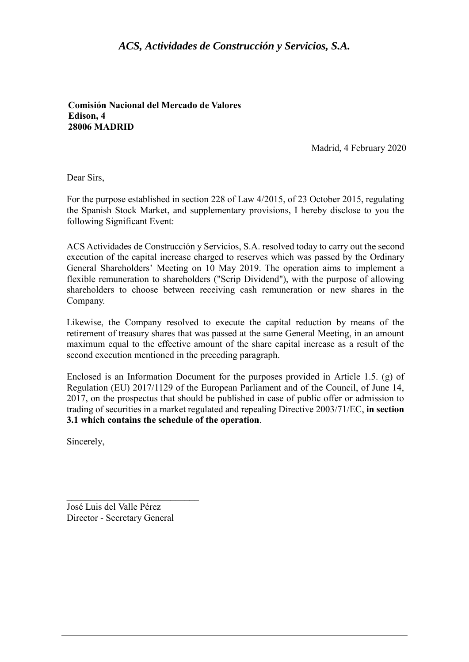## *ACS, Actividades de Construcción y Servicios, S.A.*

**Comisión Nacional del Mercado de Valores Edison, 4 28006 MADRID** 

Madrid, 4 February 2020

Dear Sirs,

For the purpose established in section 228 of Law 4/2015, of 23 October 2015, regulating the Spanish Stock Market, and supplementary provisions, I hereby disclose to you the following Significant Event:

ACS Actividades de Construcción y Servicios, S.A. resolved today to carry out the second execution of the capital increase charged to reserves which was passed by the Ordinary General Shareholders' Meeting on 10 May 2019. The operation aims to implement a flexible remuneration to shareholders ("Scrip Dividend"), with the purpose of allowing shareholders to choose between receiving cash remuneration or new shares in the Company.

Likewise, the Company resolved to execute the capital reduction by means of the retirement of treasury shares that was passed at the same General Meeting, in an amount maximum equal to the effective amount of the share capital increase as a result of the second execution mentioned in the preceding paragraph.

Enclosed is an Information Document for the purposes provided in Article 1.5. (g) of Regulation (EU) 2017/1129 of the European Parliament and of the Council, of June 14, 2017, on the prospectus that should be published in case of public offer or admission to trading of securities in a market regulated and repealing Directive 2003/71/EC, **in section 3.1 which contains the schedule of the operation**.

Sincerely,

José Luis del Valle Pérez Director - Secretary General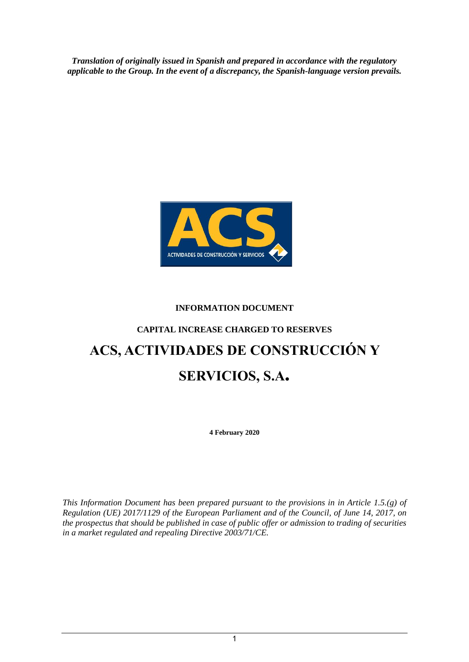*Translation of originally issued in Spanish and prepared in accordance with the regulatory applicable to the Group. In the event of a discrepancy, the Spanish-language version prevails.*



## **INFORMATION DOCUMENT**

# **CAPITAL INCREASE CHARGED TO RESERVES ACS, ACTIVIDADES DE CONSTRUCCIÓN Y SERVICIOS, S.A.**

**4 February 2020**

*This Information Document has been prepared pursuant to the provisions in in Article 1.5.(g) of Regulation (UE) 2017/1129 of the European Parliament and of the Council, of June 14, 2017, on the prospectus that should be published in case of public offer or admission to trading of securities in a market regulated and repealing Directive 2003/71/CE.*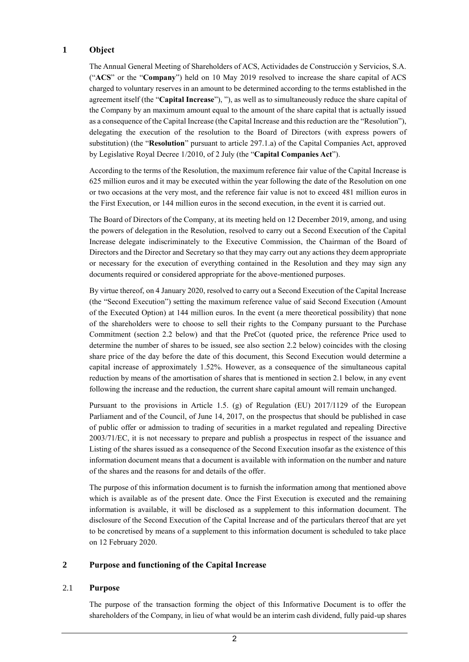#### **1 Object**

The Annual General Meeting of Shareholders of ACS, Actividades de Construcción y Servicios, S.A. ("**ACS**" or the "**Company**") held on 10 May 2019 resolved to increase the share capital of ACS charged to voluntary reserves in an amount to be determined according to the terms established in the agreement itself (the "**Capital Increase**"), "), as well as to simultaneously reduce the share capital of the Company by an maximum amount equal to the amount of the share capital that is actually issued as a consequence of the Capital Increase (the Capital Increase and this reduction are the "Resolution"), delegating the execution of the resolution to the Board of Directors (with express powers of substitution) (the "**Resolution**" pursuant to article 297.1.a) of the Capital Companies Act, approved by Legislative Royal Decree 1/2010, of 2 July (the "**Capital Companies Act**").

According to the terms of the Resolution, the maximum reference fair value of the Capital Increase is 625 million euros and it may be executed within the year following the date of the Resolution on one or two occasions at the very most, and the reference fair value is not to exceed 481 million euros in the First Execution, or 144 million euros in the second execution, in the event it is carried out.

The Board of Directors of the Company, at its meeting held on 12 December 2019, among, and using the powers of delegation in the Resolution, resolved to carry out a Second Execution of the Capital Increase delegate indiscriminately to the Executive Commission, the Chairman of the Board of Directors and the Director and Secretary so that they may carry out any actions they deem appropriate or necessary for the execution of everything contained in the Resolution and they may sign any documents required or considered appropriate for the above-mentioned purposes.

By virtue thereof, on 4 January 2020, resolved to carry out a Second Execution of the Capital Increase (the "Second Execution") setting the maximum reference value of said Second Execution (Amount of the Executed Option) at 144 million euros. In the event (a mere theoretical possibility) that none of the shareholders were to choose to sell their rights to the Company pursuant to the Purchase Commitment (section 2.2 below) and that the PreCot (quoted price, the reference Price used to determine the number of shares to be issued, see also section 2.2 below) coincides with the closing share price of the day before the date of this document, this Second Execution would determine a capital increase of approximately 1.52%. However, as a consequence of the simultaneous capital reduction by means of the amortisation of shares that is mentioned in section 2.1 below, in any event following the increase and the reduction, the current share capital amount will remain unchanged.

Pursuant to the provisions in Article 1.5. (g) of Regulation (EU) 2017/1129 of the European Parliament and of the Council, of June 14, 2017, on the prospectus that should be published in case of public offer or admission to trading of securities in a market regulated and repealing Directive 2003/71/EC, it is not necessary to prepare and publish a prospectus in respect of the issuance and Listing of the shares issued as a consequence of the Second Execution insofar as the existence of this information document means that a document is available with information on the number and nature of the shares and the reasons for and details of the offer.

The purpose of this information document is to furnish the information among that mentioned above which is available as of the present date. Once the First Execution is executed and the remaining information is available, it will be disclosed as a supplement to this information document. The disclosure of the Second Execution of the Capital Increase and of the particulars thereof that are yet to be concretised by means of a supplement to this information document is scheduled to take place on 12 February 2020.

#### **2 Purpose and functioning of the Capital Increase**

#### 2.1 **Purpose**

The purpose of the transaction forming the object of this Informative Document is to offer the shareholders of the Company, in lieu of what would be an interim cash dividend, fully paid-up shares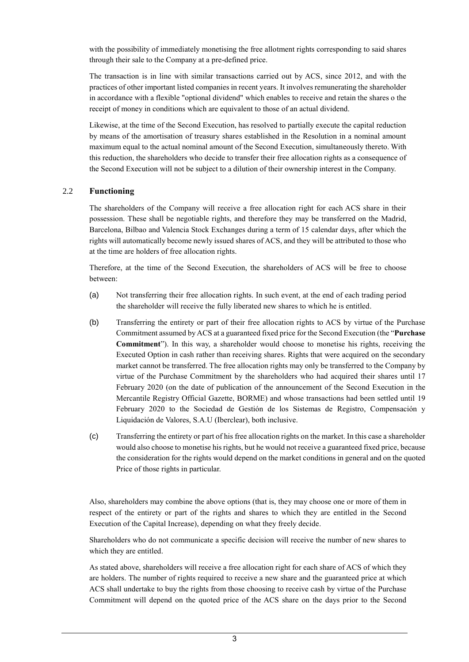with the possibility of immediately monetising the free allotment rights corresponding to said shares through their sale to the Company at a pre-defined price.

The transaction is in line with similar transactions carried out by ACS, since 2012, and with the practices of other important listed companies in recent years. It involves remunerating the shareholder in accordance with a flexible "optional dividend" which enables to receive and retain the shares o the receipt of money in conditions which are equivalent to those of an actual dividend.

Likewise, at the time of the Second Execution, has resolved to partially execute the capital reduction by means of the amortisation of treasury shares established in the Resolution in a nominal amount maximum equal to the actual nominal amount of the Second Execution, simultaneously thereto. With this reduction, the shareholders who decide to transfer their free allocation rights as a consequence of the Second Execution will not be subject to a dilution of their ownership interest in the Company.

#### 2.2 **Functioning**

The shareholders of the Company will receive a free allocation right for each ACS share in their possession. These shall be negotiable rights, and therefore they may be transferred on the Madrid, Barcelona, Bilbao and Valencia Stock Exchanges during a term of 15 calendar days, after which the rights will automatically become newly issued shares of ACS, and they will be attributed to those who at the time are holders of free allocation rights.

Therefore, at the time of the Second Execution, the shareholders of ACS will be free to choose between:

- (a) Not transferring their free allocation rights. In such event, at the end of each trading period the shareholder will receive the fully liberated new shares to which he is entitled.
- (b) Transferring the entirety or part of their free allocation rights to ACS by virtue of the Purchase Commitment assumed by ACS at a guaranteed fixed price for the Second Execution (the "**Purchase Commitment**"). In this way, a shareholder would choose to monetise his rights, receiving the Executed Option in cash rather than receiving shares. Rights that were acquired on the secondary market cannot be transferred. The free allocation rights may only be transferred to the Company by virtue of the Purchase Commitment by the shareholders who had acquired their shares until 17 February 2020 (on the date of publication of the announcement of the Second Execution in the Mercantile Registry Official Gazette, BORME) and whose transactions had been settled until 19 February 2020 to the Sociedad de Gestión de los Sistemas de Registro, Compensación y Liquidación de Valores, S.A.U (Iberclear), both inclusive.
- (c) Transferring the entirety or part of his free allocation rights on the market. In this case a shareholder would also choose to monetise his rights, but he would not receive a guaranteed fixed price, because the consideration for the rights would depend on the market conditions in general and on the quoted Price of those rights in particular.

Also, shareholders may combine the above options (that is, they may choose one or more of them in respect of the entirety or part of the rights and shares to which they are entitled in the Second Execution of the Capital Increase), depending on what they freely decide.

Shareholders who do not communicate a specific decision will receive the number of new shares to which they are entitled.

As stated above, shareholders will receive a free allocation right for each share of ACS of which they are holders. The number of rights required to receive a new share and the guaranteed price at which ACS shall undertake to buy the rights from those choosing to receive cash by virtue of the Purchase Commitment will depend on the quoted price of the ACS share on the days prior to the Second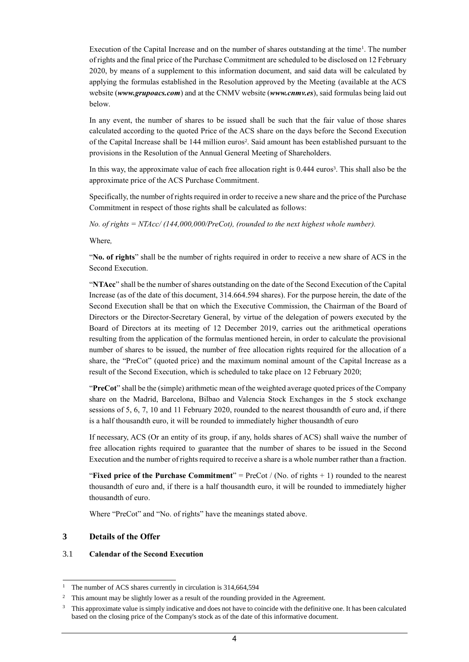Execution of the Capital Increase and on the number of shares outstanding at the time $\cdot$ . The number of rights and the final price of the Purchase Commitment are scheduled to be disclosed on 12 February 2020, by means of a supplement to this information document, and said data will be calculated by applying the formulas established in the Resolution approved by the Meeting (available at the ACS website (*www.grupoacs.com*) and at the CNMV website (*[www.cnmv.es](http://www.cnmv.es/)*), said formulas being laid out below.

In any event, the number of shares to be issued shall be such that the fair value of those shares calculated according to the quoted Price of the ACS share on the days before the Second Execution of the Capital Increase shall be 144 million euros<sup>2</sup>. Said amount has been established pursuant to the provisions in the Resolution of the Annual General Meeting of Shareholders.

In this way, the approximate value of each free allocation right is 0.444 euros<sup>3</sup>. This shall also be the approximate price of the ACS Purchase Commitment.

Specifically, the number of rights required in order to receive a new share and the price of the Purchase Commitment in respect of those rights shall be calculated as follows:

*No. of rights = NTAcc/ (144,000,000/PreCot), (rounded to the next highest whole number).*

Where*,*

"**No. of rights**" shall be the number of rights required in order to receive a new share of ACS in the Second Execution.

"**NTAcc**" shall be the number of shares outstanding on the date of the Second Execution of the Capital Increase (as of the date of this document, 314.664.594 shares). For the purpose herein, the date of the Second Execution shall be that on which the Executive Commission, the Chairman of the Board of Directors or the Director-Secretary General, by virtue of the delegation of powers executed by the Board of Directors at its meeting of 12 December 2019, carries out the arithmetical operations resulting from the application of the formulas mentioned herein, in order to calculate the provisional number of shares to be issued, the number of free allocation rights required for the allocation of a share, the "PreCot" (quoted price) and the maximum nominal amount of the Capital Increase as a result of the Second Execution, which is scheduled to take place on 12 February 2020;

"**PreCot**" shall be the (simple) arithmetic mean of the weighted average quoted prices of the Company share on the Madrid, Barcelona, Bilbao and Valencia Stock Exchanges in the 5 stock exchange sessions of 5, 6, 7, 10 and 11 February 2020, rounded to the nearest thousandth of euro and, if there is a half thousandth euro, it will be rounded to immediately higher thousandth of euro

If necessary, ACS (Or an entity of its group, if any, holds shares of ACS) shall waive the number of free allocation rights required to guarantee that the number of shares to be issued in the Second Execution and the number of rights required to receive a share is a whole number rather than a fraction.

"**Fixed price of the Purchase Commitment**" = PreCot / (No. of rights + 1) rounded to the nearest thousandth of euro and, if there is a half thousandth euro, it will be rounded to immediately higher thousandth of euro.

Where "PreCot" and "No. of rights" have the meanings stated above.

#### **3 Details of the Offer**

-

#### 3.1 **Calendar of the Second Execution**

<sup>&</sup>lt;sup>1</sup> The number of ACS shares currently in circulation is 314,664,594

<sup>&</sup>lt;sup>2</sup> This amount may be slightly lower as a result of the rounding provided in the Agreement.

<sup>3</sup> This approximate value is simply indicative and does not have to coincide with the definitive one. It has been calculated based on the closing price of the Company's stock as of the date of this informative document.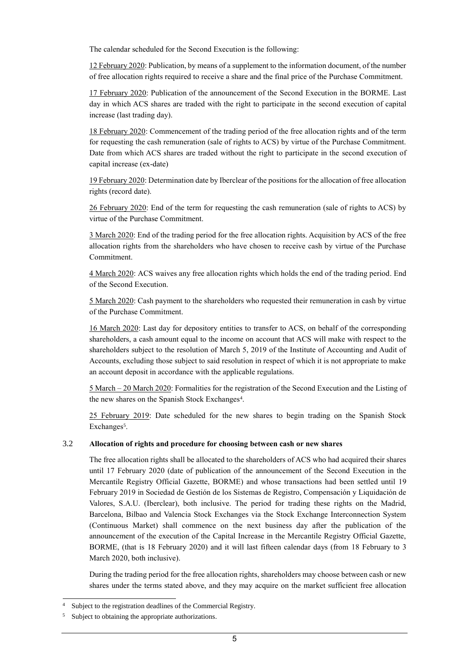The calendar scheduled for the Second Execution is the following:

12 February 2020: Publication, by means of a supplement to the information document, of the number of free allocation rights required to receive a share and the final price of the Purchase Commitment.

17 February 2020: Publication of the announcement of the Second Execution in the BORME. Last day in which ACS shares are traded with the right to participate in the second execution of capital increase (last trading day).

18 February 2020: Commencement of the trading period of the free allocation rights and of the term for requesting the cash remuneration (sale of rights to ACS) by virtue of the Purchase Commitment. Date from which ACS shares are traded without the right to participate in the second execution of capital increase (ex-date)

19 February 2020: Determination date by Iberclear of the positions for the allocation of free allocation rights (record date).

26 February 2020: End of the term for requesting the cash remuneration (sale of rights to ACS) by virtue of the Purchase Commitment.

3 March 2020: End of the trading period for the free allocation rights. Acquisition by ACS of the free allocation rights from the shareholders who have chosen to receive cash by virtue of the Purchase Commitment.

4 March 2020: ACS waives any free allocation rights which holds the end of the trading period. End of the Second Execution.

5 March 2020: Cash payment to the shareholders who requested their remuneration in cash by virtue of the Purchase Commitment.

16 March 2020: Last day for depository entities to transfer to ACS, on behalf of the corresponding shareholders, a cash amount equal to the income on account that ACS will make with respect to the shareholders subject to the resolution of March 5, 2019 of the Institute of Accounting and Audit of Accounts, excluding those subject to said resolution in respect of which it is not appropriate to make an account deposit in accordance with the applicable regulations.

5 March – 20 March 2020: Formalities for the registration of the Second Execution and the Listing of the new shares on the Spanish Stock Exchanges<sup>4</sup>.

25 February 2019: Date scheduled for the new shares to begin trading on the Spanish Stock Exchanges<sup>5</sup>.

#### 3.2 **Allocation of rights and procedure for choosing between cash or new shares**

The free allocation rights shall be allocated to the shareholders of ACS who had acquired their shares until 17 February 2020 (date of publication of the announcement of the Second Execution in the Mercantile Registry Official Gazette, BORME) and whose transactions had been settled until 19 February 2019 in Sociedad de Gestión de los Sistemas de Registro, Compensación y Liquidación de Valores, S.A.U. (Iberclear), both inclusive. The period for trading these rights on the Madrid, Barcelona, Bilbao and Valencia Stock Exchanges via the Stock Exchange Interconnection System (Continuous Market) shall commence on the next business day after the publication of the announcement of the execution of the Capital Increase in the Mercantile Registry Official Gazette, BORME, (that is 18 February 2020) and it will last fifteen calendar days (from 18 February to 3 March 2020, both inclusive).

During the trading period for the free allocation rights, shareholders may choose between cash or new shares under the terms stated above, and they may acquire on the market sufficient free allocation

-

Subject to the registration deadlines of the Commercial Registry.

Subject to obtaining the appropriate authorizations.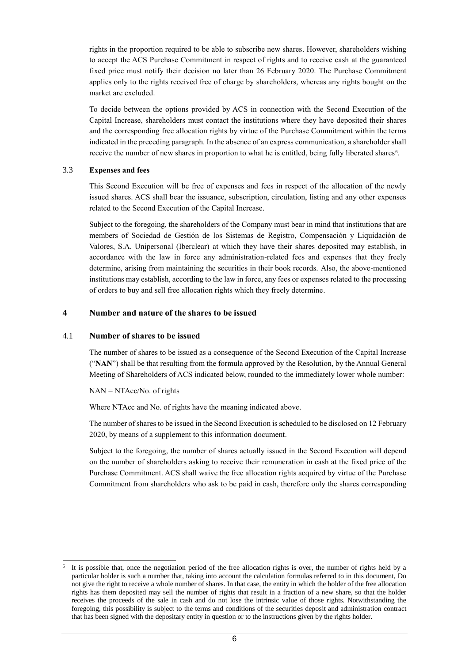rights in the proportion required to be able to subscribe new shares. However, shareholders wishing to accept the ACS Purchase Commitment in respect of rights and to receive cash at the guaranteed fixed price must notify their decision no later than 26 February 2020. The Purchase Commitment applies only to the rights received free of charge by shareholders, whereas any rights bought on the market are excluded.

To decide between the options provided by ACS in connection with the Second Execution of the Capital Increase, shareholders must contact the institutions where they have deposited their shares and the corresponding free allocation rights by virtue of the Purchase Commitment within the terms indicated in the preceding paragraph. In the absence of an express communication, a shareholder shall receive the number of new shares in proportion to what he is entitled, being fully liberated shares<sup>6</sup>.

#### 3.3 **Expenses and fees**

This Second Execution will be free of expenses and fees in respect of the allocation of the newly issued shares. ACS shall bear the issuance, subscription, circulation, listing and any other expenses related to the Second Execution of the Capital Increase.

Subject to the foregoing, the shareholders of the Company must bear in mind that institutions that are members of Sociedad de Gestión de los Sistemas de Registro, Compensación y Liquidación de Valores, S.A. Unipersonal (Iberclear) at which they have their shares deposited may establish, in accordance with the law in force any administration-related fees and expenses that they freely determine, arising from maintaining the securities in their book records. Also, the above-mentioned institutions may establish, according to the law in force, any fees or expenses related to the processing of orders to buy and sell free allocation rights which they freely determine.

#### **4 Number and nature of the shares to be issued**

#### 4.1 **Number of shares to be issued**

The number of shares to be issued as a consequence of the Second Execution of the Capital Increase ("**NAN**") shall be that resulting from the formula approved by the Resolution, by the Annual General Meeting of Shareholders of ACS indicated below, rounded to the immediately lower whole number:

#### NAN = NTAcc/No. of rights

-

Where NTAcc and No. of rights have the meaning indicated above.

The number of shares to be issued in the Second Execution is scheduled to be disclosed on 12 February 2020, by means of a supplement to this information document.

Subject to the foregoing, the number of shares actually issued in the Second Execution will depend on the number of shareholders asking to receive their remuneration in cash at the fixed price of the Purchase Commitment. ACS shall waive the free allocation rights acquired by virtue of the Purchase Commitment from shareholders who ask to be paid in cash, therefore only the shares corresponding

<sup>&</sup>lt;sup>6</sup> It is possible that, once the negotiation period of the free allocation rights is over, the number of rights held by a particular holder is such a number that, taking into account the calculation formulas referred to in this document, Do not give the right to receive a whole number of shares. In that case, the entity in which the holder of the free allocation rights has them deposited may sell the number of rights that result in a fraction of a new share, so that the holder receives the proceeds of the sale in cash and do not lose the intrinsic value of those rights. Notwithstanding the foregoing, this possibility is subject to the terms and conditions of the securities deposit and administration contract that has been signed with the depositary entity in question or to the instructions given by the rights holder.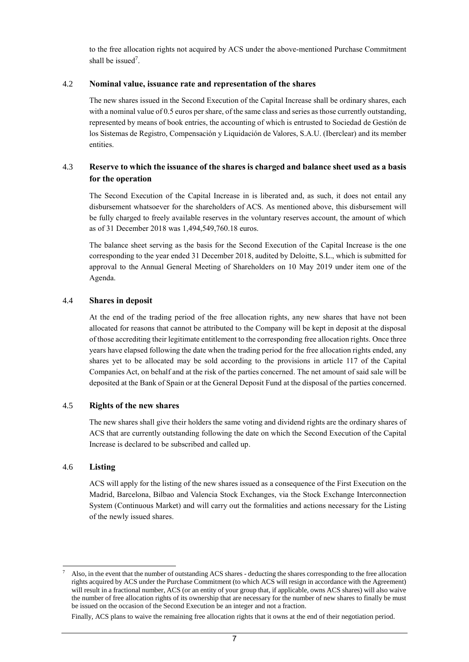to the free allocation rights not acquired by ACS under the above-mentioned Purchase Commitment shall be issued<sup>7</sup>.

#### 4.2 **Nominal value, issuance rate and representation of the shares**

The new shares issued in the Second Execution of the Capital Increase shall be ordinary shares, each with a nominal value of 0.5 euros per share, of the same class and series as those currently outstanding, represented by means of book entries, the accounting of which is entrusted to Sociedad de Gestión de los Sistemas de Registro, Compensación y Liquidación de Valores, S.A.U. (Iberclear) and its member entities.

## 4.3 **Reserve to which the issuance of the shares is charged and balance sheet used as a basis for the operation**

The Second Execution of the Capital Increase in is liberated and, as such, it does not entail any disbursement whatsoever for the shareholders of ACS. As mentioned above, this disbursement will be fully charged to freely available reserves in the voluntary reserves account, the amount of which as of 31 December 2018 was 1,494,549,760.18 euros.

The balance sheet serving as the basis for the Second Execution of the Capital Increase is the one corresponding to the year ended 31 December 2018, audited by Deloitte, S.L., which is submitted for approval to the Annual General Meeting of Shareholders on 10 May 2019 under item one of the Agenda.

#### 4.4 **Shares in deposit**

At the end of the trading period of the free allocation rights, any new shares that have not been allocated for reasons that cannot be attributed to the Company will be kept in deposit at the disposal of those accrediting their legitimate entitlement to the corresponding free allocation rights. Once three years have elapsed following the date when the trading period for the free allocation rights ended, any shares yet to be allocated may be sold according to the provisions in article 117 of the Capital Companies Act, on behalf and at the risk of the parties concerned. The net amount of said sale will be deposited at the Bank of Spain or at the General Deposit Fund at the disposal of the parties concerned.

#### 4.5 **Rights of the new shares**

The new shares shall give their holders the same voting and dividend rights are the ordinary shares of ACS that are currently outstanding following the date on which the Second Execution of the Capital Increase is declared to be subscribed and called up.

#### 4.6 **Listing**

1

ACS will apply for the listing of the new shares issued as a consequence of the First Execution on the Madrid, Barcelona, Bilbao and Valencia Stock Exchanges, via the Stock Exchange Interconnection System (Continuous Market) and will carry out the formalities and actions necessary for the Listing of the newly issued shares.

Finally, ACS plans to waive the remaining free allocation rights that it owns at the end of their negotiation period.

<sup>7</sup> Also, in the event that the number of outstanding ACS shares - deducting the shares corresponding to the free allocation rights acquired by ACS under the Purchase Commitment (to which ACS will resign in accordance with the Agreement) will result in a fractional number, ACS (or an entity of your group that, if applicable, owns ACS shares) will also waive the number of free allocation rights of its ownership that are necessary for the number of new shares to finally be must be issued on the occasion of the Second Execution be an integer and not a fraction.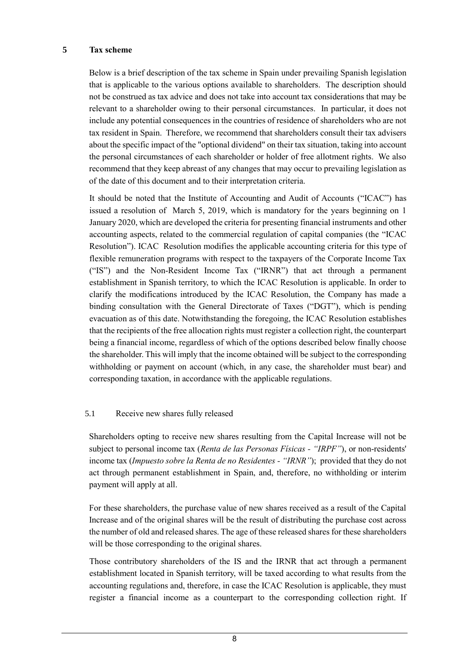#### **5 Tax scheme**

Below is a brief description of the tax scheme in Spain under prevailing Spanish legislation that is applicable to the various options available to shareholders. The description should not be construed as tax advice and does not take into account tax considerations that may be relevant to a shareholder owing to their personal circumstances. In particular, it does not include any potential consequences in the countries of residence of shareholders who are not tax resident in Spain. Therefore, we recommend that shareholders consult their tax advisers about the specific impact of the "optional dividend" on their tax situation, taking into account the personal circumstances of each shareholder or holder of free allotment rights. We also recommend that they keep abreast of any changes that may occur to prevailing legislation as of the date of this document and to their interpretation criteria.

It should be noted that the Institute of Accounting and Audit of Accounts ("ICAC") has issued a resolution of March 5, 2019, which is mandatory for the years beginning on 1 January 2020, which are developed the criteria for presenting financial instruments and other accounting aspects, related to the commercial regulation of capital companies (the "ICAC Resolution"). ICAC Resolution modifies the applicable accounting criteria for this type of flexible remuneration programs with respect to the taxpayers of the Corporate Income Tax ("IS") and the Non-Resident Income Tax ("IRNR") that act through a permanent establishment in Spanish territory, to which the ICAC Resolution is applicable. In order to clarify the modifications introduced by the ICAC Resolution, the Company has made a binding consultation with the General Directorate of Taxes ("DGT"), which is pending evacuation as of this date. Notwithstanding the foregoing, the ICAC Resolution establishes that the recipients of the free allocation rights must register a collection right, the counterpart being a financial income, regardless of which of the options described below finally choose the shareholder. This will imply that the income obtained will be subject to the corresponding withholding or payment on account (which, in any case, the shareholder must bear) and corresponding taxation, in accordance with the applicable regulations.

### 5.1 Receive new shares fully released

Shareholders opting to receive new shares resulting from the Capital Increase will not be subject to personal income tax (*Renta de las Personas Físicas - "IRPF"*), or non-residents' income tax (*Impuesto sobre la Renta de no Residentes - "IRNR"*); provided that they do not act through permanent establishment in Spain, and, therefore, no withholding or interim payment will apply at all.

For these shareholders, the purchase value of new shares received as a result of the Capital Increase and of the original shares will be the result of distributing the purchase cost across the number of old and released shares. The age of these released shares for these shareholders will be those corresponding to the original shares.

Those contributory shareholders of the IS and the IRNR that act through a permanent establishment located in Spanish territory, will be taxed according to what results from the accounting regulations and, therefore, in case the ICAC Resolution is applicable, they must register a financial income as a counterpart to the corresponding collection right. If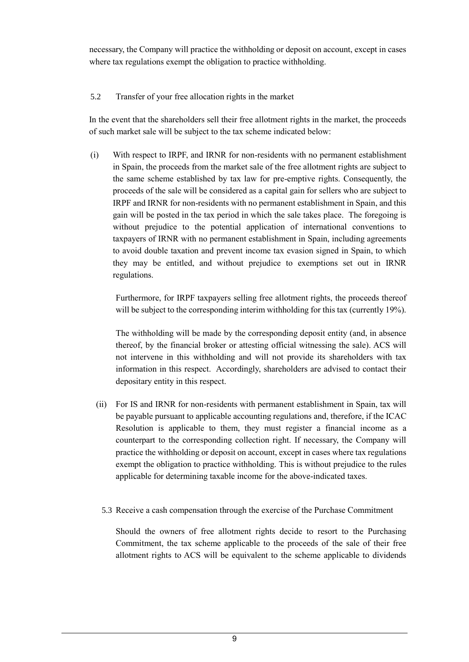necessary, the Company will practice the withholding or deposit on account, except in cases where tax regulations exempt the obligation to practice withholding.

## 5.2 Transfer of your free allocation rights in the market

In the event that the shareholders sell their free allotment rights in the market, the proceeds of such market sale will be subject to the tax scheme indicated below:

(i) With respect to IRPF, and IRNR for non-residents with no permanent establishment in Spain, the proceeds from the market sale of the free allotment rights are subject to the same scheme established by tax law for pre-emptive rights. Consequently, the proceeds of the sale will be considered as a capital gain for sellers who are subject to IRPF and IRNR for non-residents with no permanent establishment in Spain, and this gain will be posted in the tax period in which the sale takes place. The foregoing is without prejudice to the potential application of international conventions to taxpayers of IRNR with no permanent establishment in Spain, including agreements to avoid double taxation and prevent income tax evasion signed in Spain, to which they may be entitled, and without prejudice to exemptions set out in IRNR regulations.

Furthermore, for IRPF taxpayers selling free allotment rights, the proceeds thereof will be subject to the corresponding interim withholding for this tax (currently 19%).

The withholding will be made by the corresponding deposit entity (and, in absence thereof, by the financial broker or attesting official witnessing the sale). ACS will not intervene in this withholding and will not provide its shareholders with tax information in this respect. Accordingly, shareholders are advised to contact their depositary entity in this respect.

- (ii) For IS and IRNR for non-residents with permanent establishment in Spain, tax will be payable pursuant to applicable accounting regulations and, therefore, if the ICAC Resolution is applicable to them, they must register a financial income as a counterpart to the corresponding collection right. If necessary, the Company will practice the withholding or deposit on account, except in cases where tax regulations exempt the obligation to practice withholding. This is without prejudice to the rules applicable for determining taxable income for the above-indicated taxes.
	- 5.3 Receive a cash compensation through the exercise of the Purchase Commitment

Should the owners of free allotment rights decide to resort to the Purchasing Commitment, the tax scheme applicable to the proceeds of the sale of their free allotment rights to ACS will be equivalent to the scheme applicable to dividends